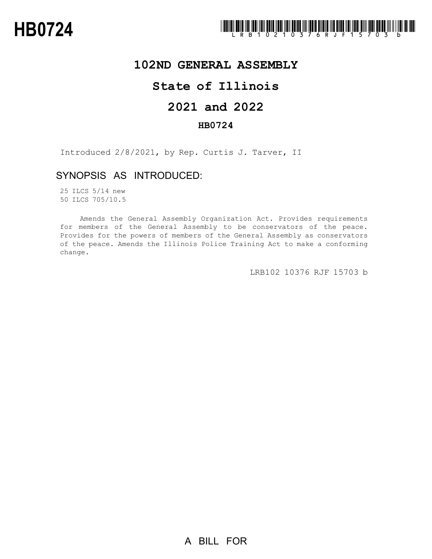

## **102ND GENERAL ASSEMBLY**

## **State of Illinois**

# **2021 and 2022**

### **HB0724**

Introduced 2/8/2021, by Rep. Curtis J. Tarver, II

### SYNOPSIS AS INTRODUCED:

25 ILCS 5/14 new 50 ILCS 705/10.5

Amends the General Assembly Organization Act. Provides requirements for members of the General Assembly to be conservators of the peace. Provides for the powers of members of the General Assembly as conservators of the peace. Amends the Illinois Police Training Act to make a conforming change.

LRB102 10376 RJF 15703 b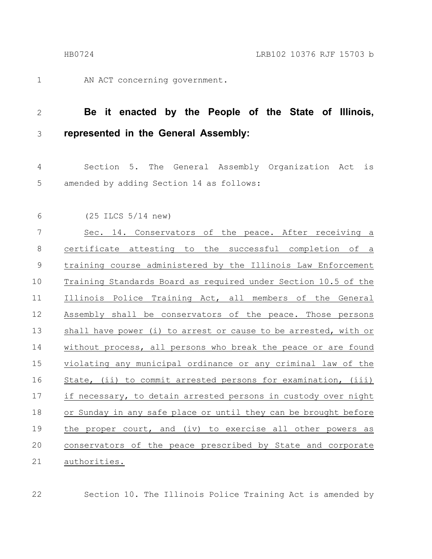1

AN ACT concerning government.

#### **Be it enacted by the People of the State of Illinois, represented in the General Assembly:** 2 3

Section 5. The General Assembly Organization Act is amended by adding Section 14 as follows: 4 5

(25 ILCS 5/14 new) 6

Sec. 14. Conservators of the peace. After receiving a certificate attesting to the successful completion of a training course administered by the Illinois Law Enforcement Training Standards Board as required under Section 10.5 of the Illinois Police Training Act, all members of the General Assembly shall be conservators of the peace. Those persons shall have power (i) to arrest or cause to be arrested, with or without process, all persons who break the peace or are found violating any municipal ordinance or any criminal law of the State, (ii) to commit arrested persons for examination, (iii) if necessary, to detain arrested persons in custody over night or Sunday in any safe place or until they can be brought before the proper court, and (iv) to exercise all other powers as conservators of the peace prescribed by State and corporate authorities. 7 8 9 10 11 12 13 14 15 16 17 18 19 20 21

22

Section 10. The Illinois Police Training Act is amended by